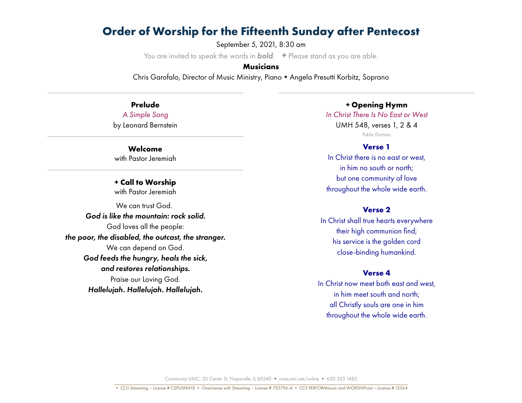September 5, 2021, 8:30 am

You are invited to speak the words in *bold*. **+** Please stand as you are able.

# **Musicians**

Chris Garofalo, Director of Music Ministry, Piano•Angela Presutti Korbitz, Soprano

**Prelude** *A Simple Song* by Leonard Bernstein

**Welcome** with Pastor Jeremiah

**+ Call to Worship** with Pastor Jeremiah

We can trust God. *God is like the mountain: rock solid.* God loves all the people: *the poor, the disabled, the outcast, the stranger.* We can depend on God. *God feeds the hungry, heals the sick, and restores relationships.* Praise our Loving God. *Hallelujah. Hallelujah. Hallelujah.*

*+* **Opening Hymn**

*In Christ There Is No East or West* UMH 548, verses 1, 2 & 4 Public Domain

### **Verse 1**

In Christ there is no east or west. in him no south or north; but one community of love throughout the whole wide earth.

# **Verse 2**

In Christ shall true hearts everywhere their high communion find; his service is the golden cord close-binding humankind.

### **Verse 4**

In Christ now meet both east and west, in him meet south and north; all Christly souls are one in him throughout the whole wide earth.

Community UMC, 20 Center St, Naperville, IL 60540 • onecumc.net/online • 630 355 1483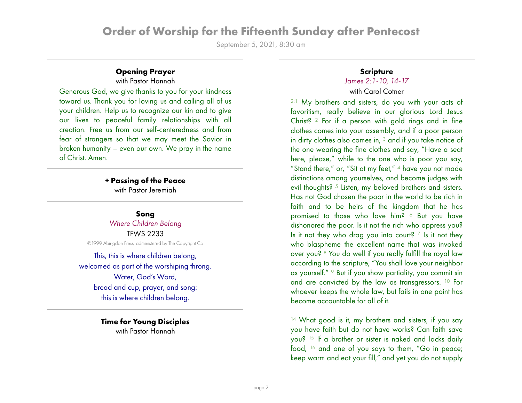September 5, 2021, 8:30 am

# **Opening Prayer**

with Pastor Hannah

Generous God, we give thanks to you for your kindness toward us. Thank you for loving us and calling all of us your children. Help us to recognize our kin and to give our lives to peaceful family relationships with all creation. Free us from our self-centeredness and from fear of strangers so that we may meet the Savior in broken humanity – even our own. We pray in the name of Christ. Amen.

# **+ Passing of the Peace**

with Pastor Jeremiah

### **Song**

*Where Children Belong* TFWS 2233 ©1999 Abingdon Press, administered by The Copyright Co

This, this is where children belong, welcomed as part of the worshiping throng. Water, God's Word, bread and cup, prayer, and song: this is where children belong.

> **Time for Young Disciples** with Pastor Hannah

## **Scripture**

# *James 2:1-10, 14-17*

# with Carol Cotner

2:1 My brothers and sisters, do you with your acts of favoritism, really believe in our glorious Lord Jesus Christ? 2 For if a person with gold rings and in fine clothes comes into your assembly, and if a poor person in dirty clothes also comes in, 3 and if you take notice of the one wearing the fine clothes and say, "Have a seat here, please," while to the one who is poor you say, "Stand there," or, "Sit at my feet," 4 have you not made distinctions among yourselves, and become judges with evil thoughts? <sup>5</sup> Listen, my beloved brothers and sisters. Has not God chosen the poor in the world to be rich in faith and to be heirs of the kingdom that he has promised to those who love him? 6 But you have dishonored the poor. Is it not the rich who oppress you? Is it not they who drag you into court?  $\frac{7}{1}$  Is it not they who blaspheme the excellent name that was invoked over you? 8 You do well if you really fulfill the royal law according to the scripture, "You shall love your neighbor as yourself." 9 But if you show partiality, you commit sin and are convicted by the law as transgressors. 10 For whoever keeps the whole law, but fails in one point has become accountable for all of it.

<sup>14</sup> What good is it, my brothers and sisters, if you say you have faith but do not have works? Can faith save you? 15 If a brother or sister is naked and lacks daily food, 16 and one of you says to them, "Go in peace; keep warm and eat your fill," and yet you do not supply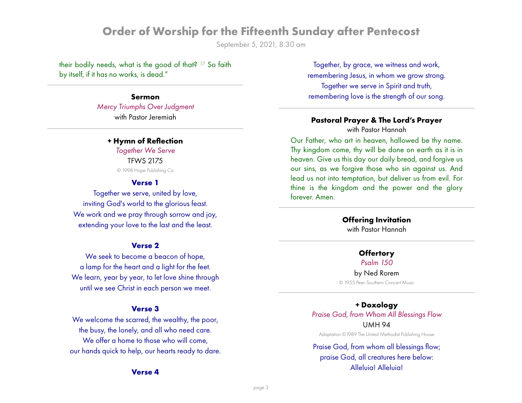September 5, 2021, 8:30 am

their bodily needs, what is the good of that? 17 So faith by itself, if it has no works, is dead."

# **Sermon**

*Mercy Triumphs Over Judgment* with Pastor Jeremiah

### **+ Hymn of Reflection**

*Together We Serve* TFWS 2175 © 1998 Hope Publishing Co

### **Verse 1**

Together we serve, united by love, inviting God's world to the glorious feast. We work and we pray through sorrow and joy, extending your love to the last and the least.

## **Verse 2**

We seek to become a beacon of hope, a lamp for the heart and a light for the feet. We learn, year by year, to let love shine through until we see Christ in each person we meet.

### **Verse 3**

We welcome the scarred, the wealthy, the poor, the busy, the lonely, and all who need care. We offer a home to those who will come. our hands quick to help, our hearts ready to dare.

#### **Verse 4**

Together, by grace, we witness and work, remembering Jesus, in whom we grow strong. Together we serve in Spirit and truth, remembering love is the strength of our song.

## **Pastoral Prayer & The Lord's Prayer** with Pastor Hannah

Our Father, who art in heaven, hallowed be thy name. Thy kingdom come, thy will be done on earth as it is in heaven. Give us this day our daily bread, and forgive us our sins, as we forgive those who sin against us. And lead us not into temptation, but deliver us from evil. For thine is the kingdom and the power and the glory forever. Amen.

### **Offering Invitation**

with Pastor Hannah

### **Offertory**

*Psalm 150*

by Ned Rorem © 1955 Peer-Southern Concert Music

# **+ Doxology** *Praise God, from Whom All Blessings Flow* UMH 94

Adaptation ©1989 The United Methodist Publishing House

# Praise God, from whom all blessings flow; praise God, all creatures here below: Alleluia! Alleluia!